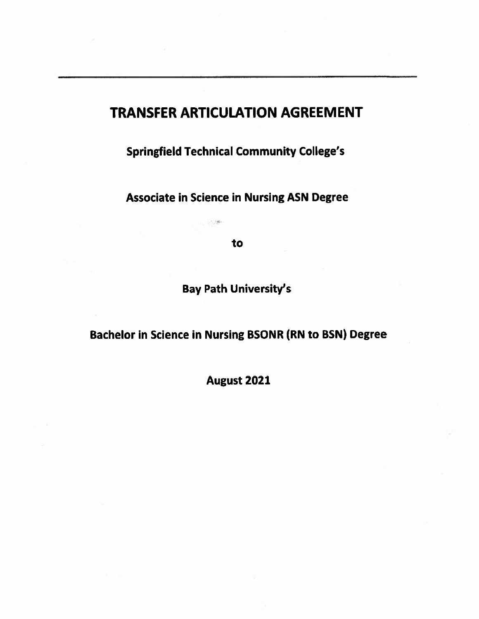# **TRANSFER ARTICULATION AGREEMENT**

**Springfield Technical Community College's** 

**Associate in Science in Nursing ASN Degree** 

to

大地

**Bay Path University's** 

**Bachelor in Science in Nursing BSONR (RN to BSN) Degree** 

August 2021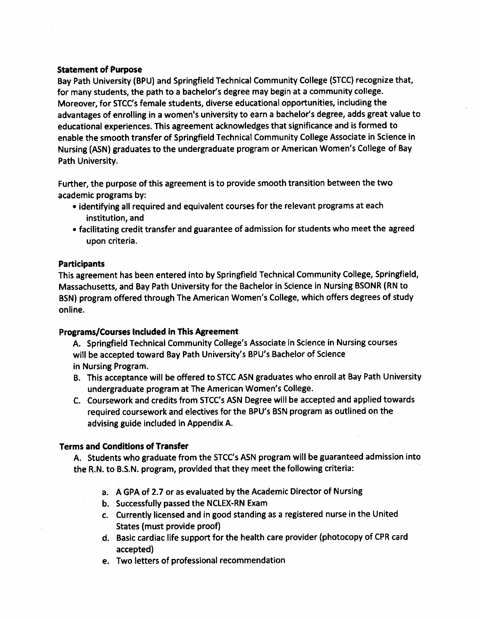#### **Statement of Purpose**

Bay Path University (BPU) and Springfield Technical Community College (STCC) recognize that, for many students, the path to a bachelor's degree may begin at a community college. Moreover, for STCC's female students, diverse educational opportunities, including the advantages of enrolling in a women's university to earn a bachelor's degree, adds great value to educational experiences. This agreement acknowledges that significance and is formed to enable the smooth transfer of Springfield Technical Community College Associate in Science in Nursing (ASN) graduates to the undergraduate program or American Women's College of Bay Path University.

Further, the purpose of this agreement is to provide smooth transition between the two academic programs by:

- identifying all required and equivalent courses for the relevant programs at each institution, and
- facilitating credit transfer and guarantee of admission for students who meet the agreed upon criteria.

### **Participants**

This agreement has been entered into by Springfield Technical Community College, Springfield, Massachusetts, and Bay Path University for the Bachelor in Science in Nursing BSONR (RN to BSN) program offered through The American Women's College, which offers degrees of study online.

#### **Programs/Courses Included in This Agreement**

A. Springfield Technical Community College's Associate in Science in Nursing courses will be accepted toward Bay Path University's BPU's Bachelor of Science in Nursing Program.

- B. This acceptance will be offered to STCC ASN graduates who enroll at Bay Path University undergraduate program at The American Women's College.
- C. Coursework and credits from STCC's ASN Degree will be accepted and applied towards required coursework and electives for the BPU's BSN program as outlined on the advising guide included in Appendix A.

## **Terms and Conditions of Transfer**

A. Students who graduate from the STCC's ASN program will be guaranteed admission into the R.N. to B.S.N. program, provided that they meet the following criteria:

- a. A GPA of 2.7 or as evaluated by the Academic Director of Nursing
- b. Successfully passed the NCLEX-RN Exam
- c. Currently licensed and in good standing as a registered nurse in the United States (must provide proof)
- d. Basic cardiac life support for the health care provider (photocopy of CPR card accepted)
- e. Two letters of professional recommendation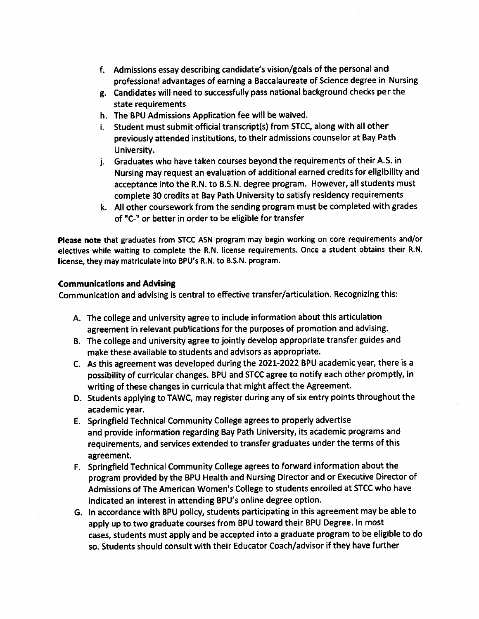- f. Admissions essay describing candidate's vision/goals of the personal and professional advantages of earning a Baccalaureate of Science degree in Nursing
- g. Candidates will need to successfully pass national background checks per the state requirements
- h. The BPU Admissions Application fee will be waived.
- i. Student must submit official transcript(s) from STCC, along with all other previously attended institutions, to their admissions counselor at Bay Path University.
- j. Graduates who have taken courses beyond the requirements of their A.S. in Nursing may request an evaluation of additional earned credits for eligibility and acceptance into the R.N. to B.S.N. degree program. However, all students must complete 30 credits at Bay Path University to satisfy residency requirements
- k. All other coursework from the sending program must be completed with grades of "C-" or better in order to be eligible for transfer

Please note that graduates from STCC ASN program may begin working on core requirements and/or electives while waiting to complete the R.N. license requirements. Once a student obtains their R.N. license, they may matriculate into BPU's R.N. to B.S.N. program.

#### **Communications and Advising**

Communication and advising is central to effective transfer/articulation. Recognizing this:

- A. The college and university agree to include information about this articulation agreement in relevant publications for the purposes of promotion and advising.
- B. The college and university agree to jointly develop appropriate transfer guides and make these available to students and advisors as appropriate.
- C. As this agreement was developed during the 2021-2022 BPU academic year, there is a possibility of curricular changes. BPU and STCC agree to notify each other promptly, in writing of these changes in curricula that might affect the Agreement.
- D. Students applying to TAWC, may register during any of six entry points throughout the academic year.
- E. Springfield Technical Community College agrees to properly advertise and provide information regarding Bay Path University, its academic programs and requirements, and services extended to transfer graduates under the terms of this agreement.
- F. Springfield Technical Community College agrees to forward information about the program provided by the BPU Health and Nursing Director and or Executive Director of Admissions of The American Women's College to students enrolled at STCC who have indicated an interest in attending BPU's online degree option.
- G. In accordance with BPU policy, students participating in this agreement may be able to apply up to two graduate courses from BPU toward their BPU Degree. In most cases, students must apply and be accepted into a graduate program to be eligible to do so. Students should consult with their Educator Coach/advisor if they have further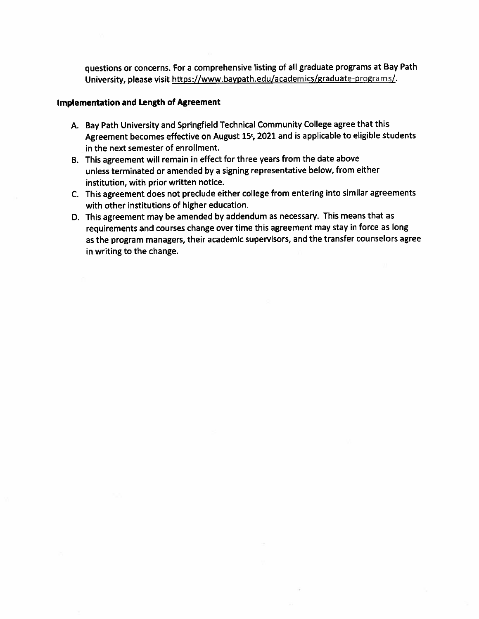questions or concerns. For a comprehensive listing of all graduate programs at Bay Path University, please visit https://www.baypath.edu/academics/graduate-programs/.

#### **Implementation and Length of Agreement**

- A. Bay Path University and Springfield Technical Community College agree that this Agreement becomes effective on August 15<sup>t</sup>, 2021 and is applicable to eligible students in the next semester of enrollment.
- B. This agreement will remain in effect for three years from the date above unless terminated or amended by a signing representative below, from either institution, with prior written notice.
- C. This agreement does not preclude either college from entering into similar agreements with other institutions of higher education.
- D. This agreement may be amended by addendum as necessary. This means that as requirements and courses change over time this agreement may stay in force as long as the program managers, their academic supervisors, and the transfer counselors agree in writing to the change.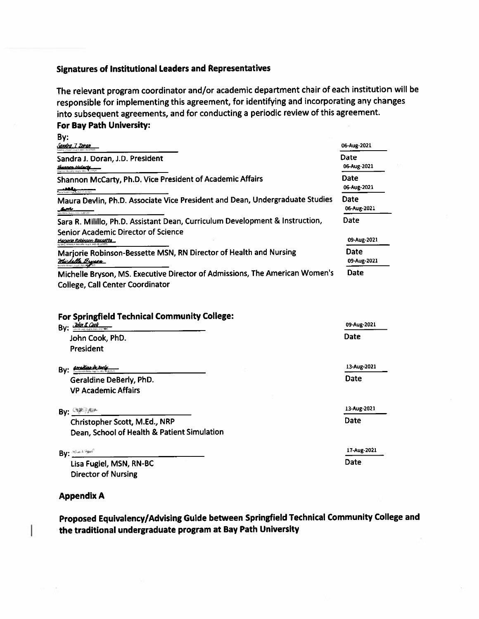#### **Signatures of Institutional Leaders and Representatives**

The relevant program coordinator and/or academic department chair of each institution will be responsible for implementing this agreement, for identifying and incorporating any changes into subsequent agreements, and for conducting a periodic review of this agreement. For Bay Path University:

| By:<br><u>Sandra I. Doran</u>                                                                                                                       | 06-Aug-2021         |
|-----------------------------------------------------------------------------------------------------------------------------------------------------|---------------------|
| Sandra J. Doran, J.D. President<br><u> Shannon McCarty</u>                                                                                          | Date<br>06-Aug-2021 |
| Shannon McCarty, Ph.D. Vice President of Academic Affairs<br>and and children                                                                       | Date<br>06-Aug-2021 |
| Maura Devlin, Ph.D. Associate Vice President and Dean, Undergraduate Studies                                                                        | Date<br>06-Aug-2021 |
| Sara R. Milillo, Ph.D. Assistant Dean, Curriculum Development & Instruction,<br>Senior Academic Director of Science<br>tariorio Robinson-Bassorta . | Date<br>09-Aug-2021 |
| Marjorie Robinson-Bessette MSN, RN Director of Health and Nursing<br><u> Huchella Brucen</u>                                                        | Date<br>09-Aug-2021 |
| Michelle Bryson, MS. Executive Director of Admissions, The American Women's<br><b>College, Call Center Coordinator</b>                              | <b>Date</b>         |

#### For Springfield Technical Community College:

| <u>John B. Cook.</u><br>Bv:                 | 09-Aug-2021 |
|---------------------------------------------|-------------|
| John Cook, PhD.                             | Date        |
| President                                   |             |
| <u>geraduse in certe</u><br>By:             | 13-Aug-2021 |
| Geraldine DeBerly, PhD.                     | Date        |
| <b>VP Academic Affairs</b>                  |             |
| By: $C_{\mathcal{F}}^{\mu\nu}$              | 13-Aug-2021 |
| Christopher Scott, M.Ed., NRP               | Date        |
| Dean, School of Health & Patient Simulation |             |
| By: Making                                  | 17-Aug-2021 |
| Lisa Fugiel, MSN, RN-BC                     | Date        |
| <b>Director of Nursing</b>                  |             |

**Appendix A** 

I

# Proposed Equivalency/Advising Guide between Springfield Technical Community College and the traditional undergraduate program at Bay Path University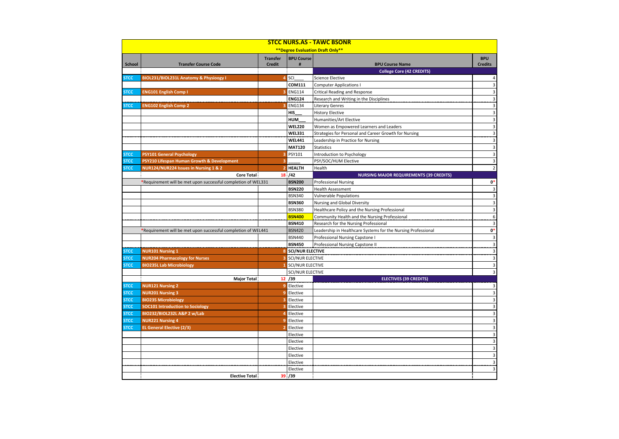|                                   | <b>STCC NURS.AS - TAWC BSONR</b>                              |                                  |                           |                                                               |                              |  |  |  |  |
|-----------------------------------|---------------------------------------------------------------|----------------------------------|---------------------------|---------------------------------------------------------------|------------------------------|--|--|--|--|
| ** Degree Evaluation Draft Only** |                                                               |                                  |                           |                                                               |                              |  |  |  |  |
| <b>School</b>                     | <b>Transfer Course Code</b>                                   | <b>Transfer</b><br><b>Credit</b> | <b>BPU Course</b><br>#    | <b>BPU Course Name</b>                                        | <b>BPU</b><br><b>Credits</b> |  |  |  |  |
|                                   |                                                               |                                  |                           | <b>College Core (42 CREDITS)</b>                              |                              |  |  |  |  |
| <b>STCC</b>                       | BIOL231/BIOL231L Anatomy & Physioogy I                        | $\overline{\mathbf{4}}$          | SCI                       | <b>Science Elective</b>                                       | $\vert$                      |  |  |  |  |
|                                   |                                                               |                                  | COM111                    | <b>Computer Applications I</b>                                | $\overline{3}$               |  |  |  |  |
| <b>STCC</b>                       | <b>ENG101 English Comp I</b>                                  | 3                                | <b>ENG114</b>             | <b>Critical Reading and Response</b>                          | 3 <sup>1</sup>               |  |  |  |  |
|                                   |                                                               |                                  | <b>ENG124</b>             | Research and Writing in the Disciplines                       | $\overline{3}$               |  |  |  |  |
| <b>STCC</b>                       | <b>ENG102 English Comp 2</b>                                  | 3                                | <b>ENG134</b>             | <b>Literary Genres</b>                                        | $\overline{\mathbf{3}}$      |  |  |  |  |
|                                   |                                                               |                                  | HIS                       | <b>History Elective</b>                                       | $\mathsf 3$                  |  |  |  |  |
|                                   |                                                               |                                  | <b>HUM</b>                | Humanities/Art Elective                                       | $\mathsf 3$                  |  |  |  |  |
|                                   |                                                               |                                  | <b>WEL220</b>             | Women as Empowered Learners and Leaders                       | $\mathsf 3$                  |  |  |  |  |
|                                   |                                                               |                                  | <b>WEL331</b>             | Strategies for Personal and Career Growth for Nursing         | $\mathsf 3$                  |  |  |  |  |
|                                   |                                                               |                                  | <b>WEL441</b>             | Leadership in Practice for Nursing                            | $\mathsf 3$                  |  |  |  |  |
|                                   |                                                               |                                  | <b>MAT120</b>             | Statistics                                                    | $\overline{3}$               |  |  |  |  |
| <b>STCC</b>                       | <b>PSY101 General Psychology</b>                              | з                                | PSY101                    | Introduction to Psychology                                    | $\overline{\mathbf{3}}$      |  |  |  |  |
| <b>STCC</b>                       | PSY210 Lifespan Human Growth & Development                    | 3                                |                           | PSY/SOC/HUM Elective                                          | $\overline{\mathbf{3}}$      |  |  |  |  |
| <b>STCC</b>                       | NUR124/NUR224 Issues in Nursing 1 & 2                         | $\overline{2}$                   | <b>HEALTH</b>             | Health                                                        | 2                            |  |  |  |  |
|                                   | Core Total:                                                   |                                  | 18/42                     | <b>NURSING MAJOR REQUIREMENTS (39 CREDITS)</b>                |                              |  |  |  |  |
|                                   | *Requirement will be met upon successful completion of WEL331 |                                  | <b>BSN200</b>             | <b>Professional Nursing</b>                                   | $\mathbf{0}^*$               |  |  |  |  |
|                                   |                                                               |                                  | <b>BSN220</b>             | <b>Health Assessment</b>                                      | $\mathsf 3$                  |  |  |  |  |
|                                   |                                                               |                                  | <b>BSN340</b>             | <b>Vulnerable Populations</b>                                 | $\overline{\mathbf{3}}$      |  |  |  |  |
|                                   |                                                               |                                  | <b>BSN360</b>             | Nursing and Global Diversity                                  | $\mathsf 3$                  |  |  |  |  |
|                                   |                                                               |                                  | <b>BSN380</b>             | Healthcare Policy and the Nursing Professional                | $\overline{\mathbf{3}}$      |  |  |  |  |
|                                   |                                                               |                                  | <b>BSN400</b>             | Community Health and the Nursing Professional                 | $\boldsymbol{6}$             |  |  |  |  |
|                                   |                                                               |                                  | <b>BSN410</b>             | Research for the Nursing Professional                         | $\overline{3}$               |  |  |  |  |
|                                   | *Requirement will be met upon successful completion of WEL441 |                                  | <b>BSN420</b>             | Leadership in Healthcare Systems for the Nursing Professional | $\mathbf{0}^*$               |  |  |  |  |
|                                   |                                                               |                                  | <b>BSN440</b>             | Professional Nursing Capstone I                               | $\mathsf 3$                  |  |  |  |  |
|                                   |                                                               |                                  | <b>BSN450</b>             | Professional Nursing Capstone II                              | $\overline{\mathbf{3}}$      |  |  |  |  |
| <b>STCC</b>                       | <b>NUR101 Nursing 1</b>                                       |                                  | 8 SCI/NUR ELECTIVE        |                                                               | 3 <sup>1</sup>               |  |  |  |  |
| <b>STCC</b>                       | <b>NUR204 Pharmacology for Nurses</b>                         |                                  | <b>3</b> SCI/NUR ELECTIVE |                                                               | $\overline{3}$               |  |  |  |  |
| <b>STCC</b>                       | <b>BIO235L Lab Microbiology</b>                               |                                  | 1 SCI/NUR ELECTIVE        |                                                               | $\overline{\mathbf{3}}$      |  |  |  |  |
|                                   |                                                               |                                  | <b>SCI/NUR ELECTIVE</b>   |                                                               | 3 <sup>1</sup>               |  |  |  |  |
|                                   | <b>Major Total</b>                                            |                                  | 12 / 39                   | <b>ELECTIVES (39 CREDITS)</b>                                 |                              |  |  |  |  |
| <b>STCC</b>                       | <b>NUR121 Nursing 2</b>                                       |                                  | 9 Elective                |                                                               | 3                            |  |  |  |  |
| <b>STCC</b>                       | <b>NUR201 Nursing 3</b>                                       | $\overline{9}$                   | Elective                  |                                                               | $\mathsf 3$                  |  |  |  |  |
| <b>STCC</b>                       | <b>BIO235 Microbiology</b>                                    | 3                                | Elective                  |                                                               | $\overline{\mathbf{3}}$      |  |  |  |  |
| <b>STCC</b>                       | <b>SOC101 Introduction to Sociology</b>                       | 3                                | Elective                  |                                                               | $\overline{\mathbf{3}}$      |  |  |  |  |
| <b>STCC</b>                       | BIO232/BIOL232L A&P 2 w/Lab                                   | $\overline{4}$                   | Elective                  |                                                               | $\overline{\mathbf{3}}$      |  |  |  |  |
| <b>STCC</b>                       | <b>NUR221 Nursing 4</b>                                       | $\overline{9}$                   | Elective                  |                                                               | $\mathsf 3$                  |  |  |  |  |
| <b>STCC</b>                       | <b>EL General Elective (2/3)</b>                              | $\overline{2}$                   | Elective                  |                                                               | $\overline{3}$               |  |  |  |  |
|                                   |                                                               |                                  | Elective                  |                                                               | $\overline{3}$               |  |  |  |  |
|                                   |                                                               |                                  | Elective                  |                                                               | $\overline{\mathbf{3}}$      |  |  |  |  |
|                                   |                                                               |                                  | Elective                  |                                                               | $\overline{3}$               |  |  |  |  |
|                                   |                                                               |                                  | Elective                  |                                                               | $\overline{\mathbf{3}}$      |  |  |  |  |
|                                   |                                                               |                                  | Elective                  |                                                               | $\mathsf 3$                  |  |  |  |  |
|                                   |                                                               |                                  | Elective                  |                                                               | $\overline{3}$               |  |  |  |  |
|                                   | <b>Elective Total:</b>                                        |                                  | 39: / 39                  |                                                               |                              |  |  |  |  |